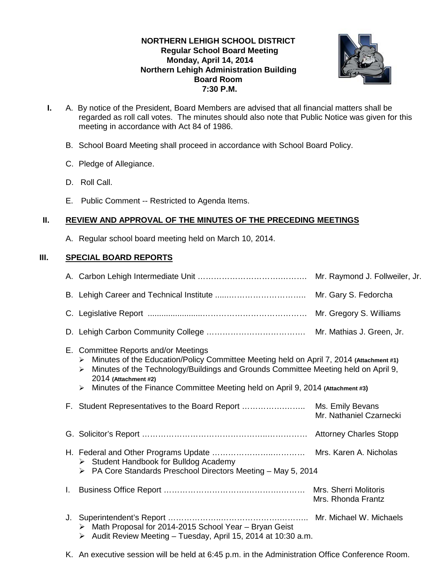# **NORTHERN LEHIGH SCHOOL DISTRICT Regular School Board Meeting Monday, April 14, 2014 Northern Lehigh Administration Building Board Room 7:30 P.M.**



- **I.** A. By notice of the President, Board Members are advised that all financial matters shall be regarded as roll call votes. The minutes should also note that Public Notice was given for this meeting in accordance with Act 84 of 1986.
	- B. School Board Meeting shall proceed in accordance with School Board Policy.
	- C. Pledge of Allegiance.
	- D. Roll Call.
	- E. Public Comment -- Restricted to Agenda Items.

# **II. REVIEW AND APPROVAL OF THE MINUTES OF THE PRECEDING MEETINGS**

A. Regular school board meeting held on March 10, 2014.

# **III. SPECIAL BOARD REPORTS**

|    |                                                                                                                                                                                                                                                                                                                                                | Mr. Raymond J. Follweiler, Jr.              |
|----|------------------------------------------------------------------------------------------------------------------------------------------------------------------------------------------------------------------------------------------------------------------------------------------------------------------------------------------------|---------------------------------------------|
|    |                                                                                                                                                                                                                                                                                                                                                |                                             |
|    |                                                                                                                                                                                                                                                                                                                                                |                                             |
|    |                                                                                                                                                                                                                                                                                                                                                |                                             |
|    | E. Committee Reports and/or Meetings<br>Minutes of the Education/Policy Committee Meeting held on April 7, 2014 (Attachment #1)<br>⋗<br>Minutes of the Technology/Buildings and Grounds Committee Meeting held on April 9,<br>➤<br>2014 (Attachment #2)<br>Minutes of the Finance Committee Meeting held on April 9, 2014 (Attachment #3)<br>➤ |                                             |
|    |                                                                                                                                                                                                                                                                                                                                                | Mr. Nathaniel Czarnecki                     |
|    |                                                                                                                                                                                                                                                                                                                                                |                                             |
|    | > Student Handbook for Bulldog Academy<br>$\triangleright$ PA Core Standards Preschool Directors Meeting - May 5, 2014                                                                                                                                                                                                                         |                                             |
| L. |                                                                                                                                                                                                                                                                                                                                                | Mrs. Sherri Molitoris<br>Mrs. Rhonda Frantz |
|    | > Math Proposal for 2014-2015 School Year - Bryan Geist<br>Audit Review Meeting - Tuesday, April 15, 2014 at 10:30 a.m.<br>➤                                                                                                                                                                                                                   |                                             |

K. An executive session will be held at 6:45 p.m. in the Administration Office Conference Room.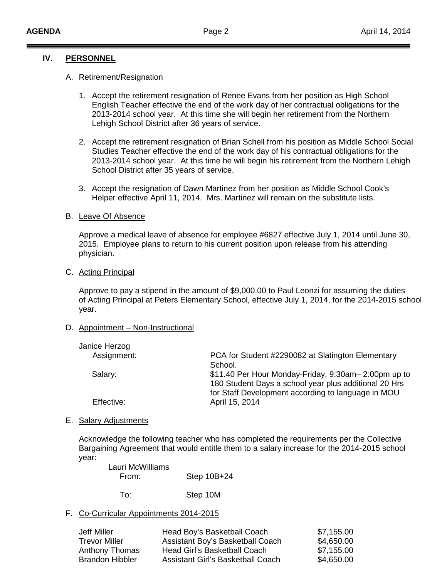### **IV. PERSONNEL**

### A. Retirement/Resignation

- 1. Accept the retirement resignation of Renee Evans from her position as High School English Teacher effective the end of the work day of her contractual obligations for the 2013-2014 school year. At this time she will begin her retirement from the Northern Lehigh School District after 36 years of service.
- 2. Accept the retirement resignation of Brian Schell from his position as Middle School Social Studies Teacher effective the end of the work day of his contractual obligations for the 2013-2014 school year. At this time he will begin his retirement from the Northern Lehigh School District after 35 years of service.
- 3. Accept the resignation of Dawn Martinez from her position as Middle School Cook's Helper effective April 11, 2014. Mrs. Martinez will remain on the substitute lists.

### B. Leave Of Absence

Approve a medical leave of absence for employee #6827 effective July 1, 2014 until June 30, 2015. Employee plans to return to his current position upon release from his attending physician.

#### C. Acting Principal

Approve to pay a stipend in the amount of \$9,000.00 to Paul Leonzi for assuming the duties of Acting Principal at Peters Elementary School, effective July 1, 2014, for the 2014-2015 school year.

### D. Appointment – Non-Instructional

| Janice Herzog |                                                                                                             |
|---------------|-------------------------------------------------------------------------------------------------------------|
| Assignment:   | PCA for Student #2290082 at Slatington Elementary                                                           |
|               | School.                                                                                                     |
| Salary:       | \$11.40 Per Hour Monday-Friday, 9:30am-2:00pm up to                                                         |
|               | 180 Student Days a school year plus additional 20 Hrs<br>for Staff Development according to language in MOU |
| Effective:    | April 15, 2014                                                                                              |
|               |                                                                                                             |

#### E. Salary Adjustments

Acknowledge the following teacher who has completed the requirements per the Collective Bargaining Agreement that would entitle them to a salary increase for the 2014-2015 school year:

| Lauri McWilliams |             |
|------------------|-------------|
| From:            | Step 10B+24 |
|                  |             |

To: Step 10M

### F. Co-Curricular Appointments 2014-2015

| Jeff Miller          | Head Boy's Basketball Coach       | \$7,155.00 |
|----------------------|-----------------------------------|------------|
| <b>Trevor Miller</b> | Assistant Boy's Basketball Coach  | \$4,650.00 |
| Anthony Thomas       | Head Girl's Basketball Coach      | \$7,155.00 |
| Brandon Hibbler      | Assistant Girl's Basketball Coach | \$4,650.00 |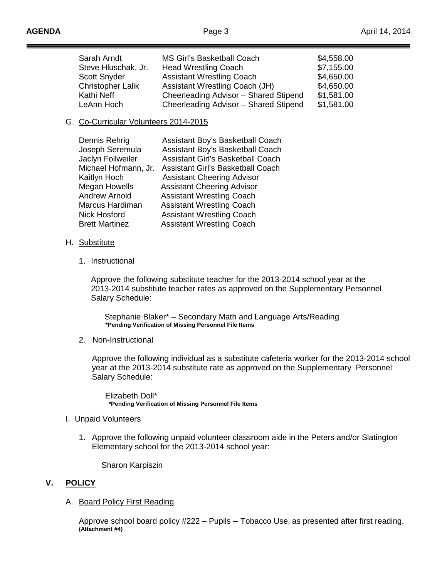| Sarah Arndt         | MS Girl's Basketball Coach            | \$4,558.00 |
|---------------------|---------------------------------------|------------|
| Steve Hluschak, Jr. | <b>Head Wrestling Coach</b>           | \$7,155.00 |
| <b>Scott Snyder</b> | <b>Assistant Wrestling Coach</b>      | \$4,650.00 |
| Christopher Lalik   | Assistant Wrestling Coach (JH)        | \$4,650.00 |
| Kathi Neff          | Cheerleading Advisor - Shared Stipend | \$1,581.00 |
| LeAnn Hoch          | Cheerleading Advisor - Shared Stipend | \$1,581.00 |

# G. Co-Curricular Volunteers 2014-2015

| Dennis Rehrig         | Assistant Boy's Basketball Coach         |
|-----------------------|------------------------------------------|
| Joseph Seremula       | Assistant Boy's Basketball Coach         |
| Jaclyn Follweiler     | Assistant Girl's Basketball Coach        |
| Michael Hofmann, Jr.  | <b>Assistant Girl's Basketball Coach</b> |
| Kaitlyn Hoch          | <b>Assistant Cheering Advisor</b>        |
| Megan Howells         | <b>Assistant Cheering Advisor</b>        |
| <b>Andrew Arnold</b>  | <b>Assistant Wrestling Coach</b>         |
| Marcus Hardiman       | <b>Assistant Wrestling Coach</b>         |
| <b>Nick Hosford</b>   | <b>Assistant Wrestling Coach</b>         |
| <b>Brett Martinez</b> | <b>Assistant Wrestling Coach</b>         |
|                       |                                          |

- H. Substitute
	- 1. Instructional

Approve the following substitute teacher for the 2013-2014 school year at the 2013-2014 substitute teacher rates as approved on the Supplementary Personnel Salary Schedule:

 Stephanie Blaker\* – Secondary Math and Language Arts/Reading **\*Pending Verification of Missing Personnel File Items**

2. Non-Instructional

Approve the following individual as a substitute cafeteria worker for the 2013-2014 school year at the 2013-2014 substitute rate as approved on the Supplementary Personnel Salary Schedule:

Elizabeth Doll\* **\*Pending Verification of Missing Personnel File Items**

- I. Unpaid Volunteers
	- 1. Approve the following unpaid volunteer classroom aide in the Peters and/or Slatington Elementary school for the 2013-2014 school year:

Sharon Karpiszin

# **V. POLICY**

# A. Board Policy First Reading

Approve school board policy #222 – Pupils – Tobacco Use, as presented after first reading. **(Attachment #4)**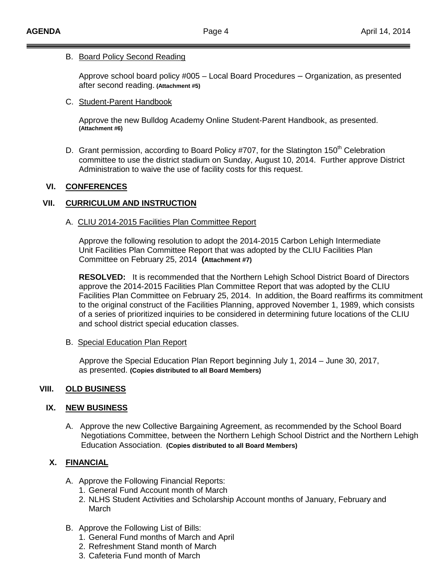### B. Board Policy Second Reading

Approve school board policy #005 – Local Board Procedures – Organization, as presented after second reading. **(Attachment #5)**

### C. Student-Parent Handbook

Approve the new Bulldog Academy Online Student-Parent Handbook, as presented. **(Attachment #6)**

D. Grant permission, according to Board Policy #707, for the Slatington 150<sup>th</sup> Celebration committee to use the district stadium on Sunday, August 10, 2014. Further approve District Administration to waive the use of facility costs for this request.

# **VI. CONFERENCES**

# **VII. CURRICULUM AND INSTRUCTION**

### A. CLIU 2014-2015 Facilities Plan Committee Report

Approve the following resolution to adopt the 2014-2015 Carbon Lehigh Intermediate Unit Facilities Plan Committee Report that was adopted by the CLIU Facilities Plan Committee on February 25, 2014 **(Attachment #7)**

**RESOLVED:** It is recommended that the Northern Lehigh School District Board of Directors approve the 2014-2015 Facilities Plan Committee Report that was adopted by the CLIU Facilities Plan Committee on February 25, 2014. In addition, the Board reaffirms its commitment to the original construct of the Facilities Planning, approved November 1, 1989, which consists of a series of prioritized inquiries to be considered in determining future locations of the CLIU and school district special education classes.

### B. Special Education Plan Report

 Approve the Special Education Plan Report beginning July 1, 2014 – June 30, 2017, as presented. **(Copies distributed to all Board Members)**

# **VIII. OLD BUSINESS**

# **IX. NEW BUSINESS**

A. Approve the new Collective Bargaining Agreement, as recommended by the School Board Negotiations Committee, between the Northern Lehigh School District and the Northern Lehigh Education Association. **(Copies distributed to all Board Members)**

# **X. FINANCIAL**

- A. Approve the Following Financial Reports:
	- 1. General Fund Account month of March
	- 2. NLHS Student Activities and Scholarship Account months of January, February and March
- B. Approve the Following List of Bills:
	- 1. General Fund months of March and April
	- 2. Refreshment Stand month of March
	- 3. Cafeteria Fund month of March